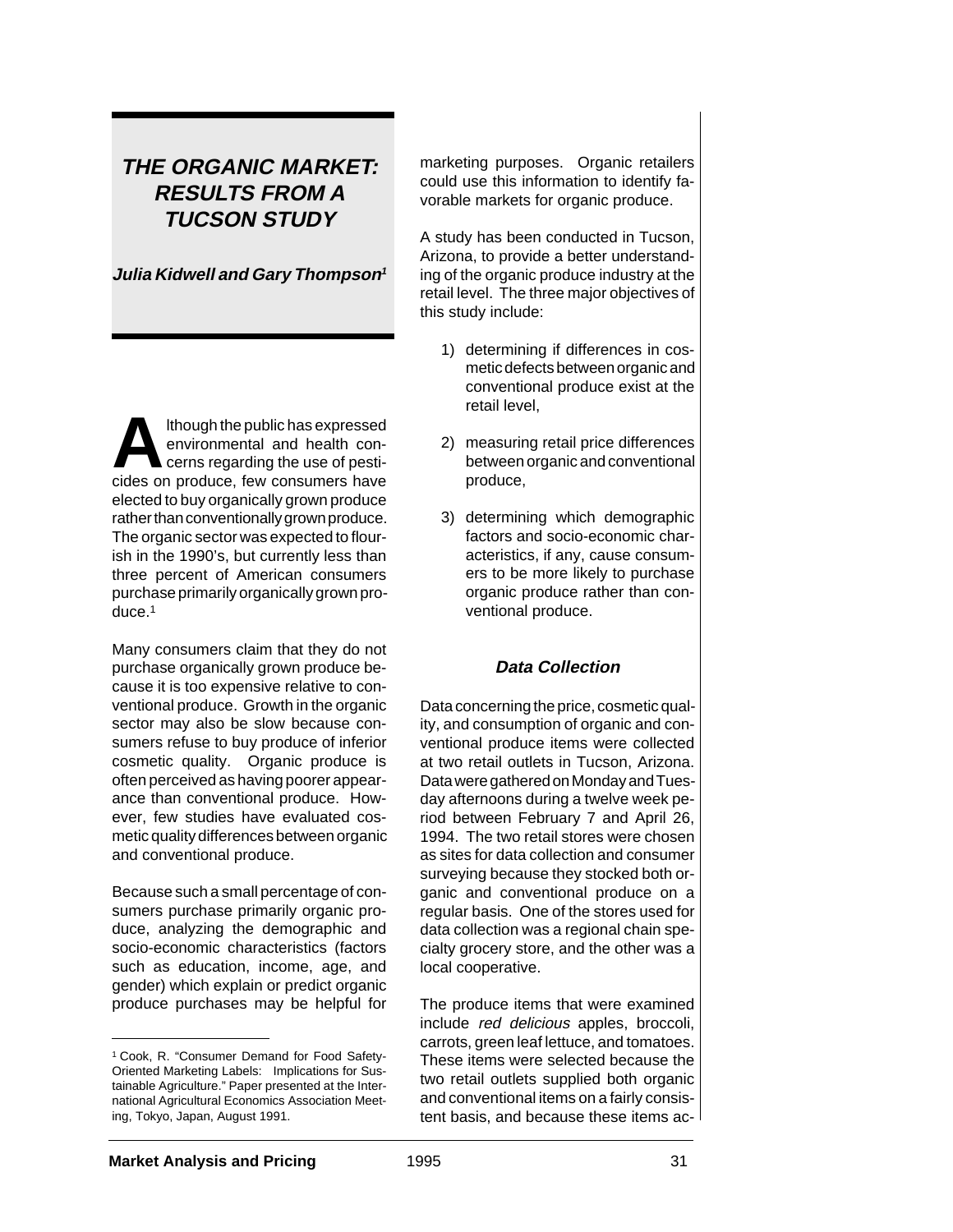# **THE ORGANIC MARKET: RESULTS FROM A TUCSON STUDY**

**Julia Kidwell and Gary Thompson<sup>1</sup>**

**Although the public has expressed<br>
environmental and health con-<br>
cerns regarding the use of pesti-<br>
cides on produce fou consumers have** environmental and health concides on produce, few consumers have elected to buy organically grown produce rather than conventionally grown produce. The organic sector was expected to flourish in the 1990's, but currently less than three percent of American consumers purchase primarily organically grown produce.1

Many consumers claim that they do not purchase organically grown produce because it is too expensive relative to conventional produce. Growth in the organic sector may also be slow because consumers refuse to buy produce of inferior cosmetic quality. Organic produce is often perceived as having poorer appearance than conventional produce. However, few studies have evaluated cosmetic quality differences between organic and conventional produce.

Because such a small percentage of consumers purchase primarily organic produce, analyzing the demographic and socio-economic characteristics (factors such as education, income, age, and gender) which explain or predict organic produce purchases may be helpful for

marketing purposes. Organic retailers could use this information to identify favorable markets for organic produce.

A study has been conducted in Tucson, Arizona, to provide a better understanding of the organic produce industry at the retail level. The three major objectives of this study include:

- 1) determining if differences in cosmetic defects between organic and conventional produce exist at the retail level,
- 2) measuring retail price differences between organic and conventional produce,
- 3) determining which demographic factors and socio-economic characteristics, if any, cause consumers to be more likely to purchase organic produce rather than conventional produce.

# **Data Collection**

Data concerning the price, cosmetic quality, and consumption of organic and conventional produce items were collected at two retail outlets in Tucson, Arizona. Data were gathered on Monday and Tuesday afternoons during a twelve week period between February 7 and April 26, 1994. The two retail stores were chosen as sites for data collection and consumer surveying because they stocked both organic and conventional produce on a regular basis. One of the stores used for data collection was a regional chain specialty grocery store, and the other was a local cooperative.

The produce items that were examined include red delicious apples, broccoli, carrots, green leaf lettuce, and tomatoes. These items were selected because the two retail outlets supplied both organic and conventional items on a fairly consistent basis, and because these items ac-

<sup>1</sup> Cook, R. "Consumer Demand for Food Safety-Oriented Marketing Labels: Implications for Sustainable Agriculture." Paper presented at the International Agricultural Economics Association Meeting, Tokyo, Japan, August 1991.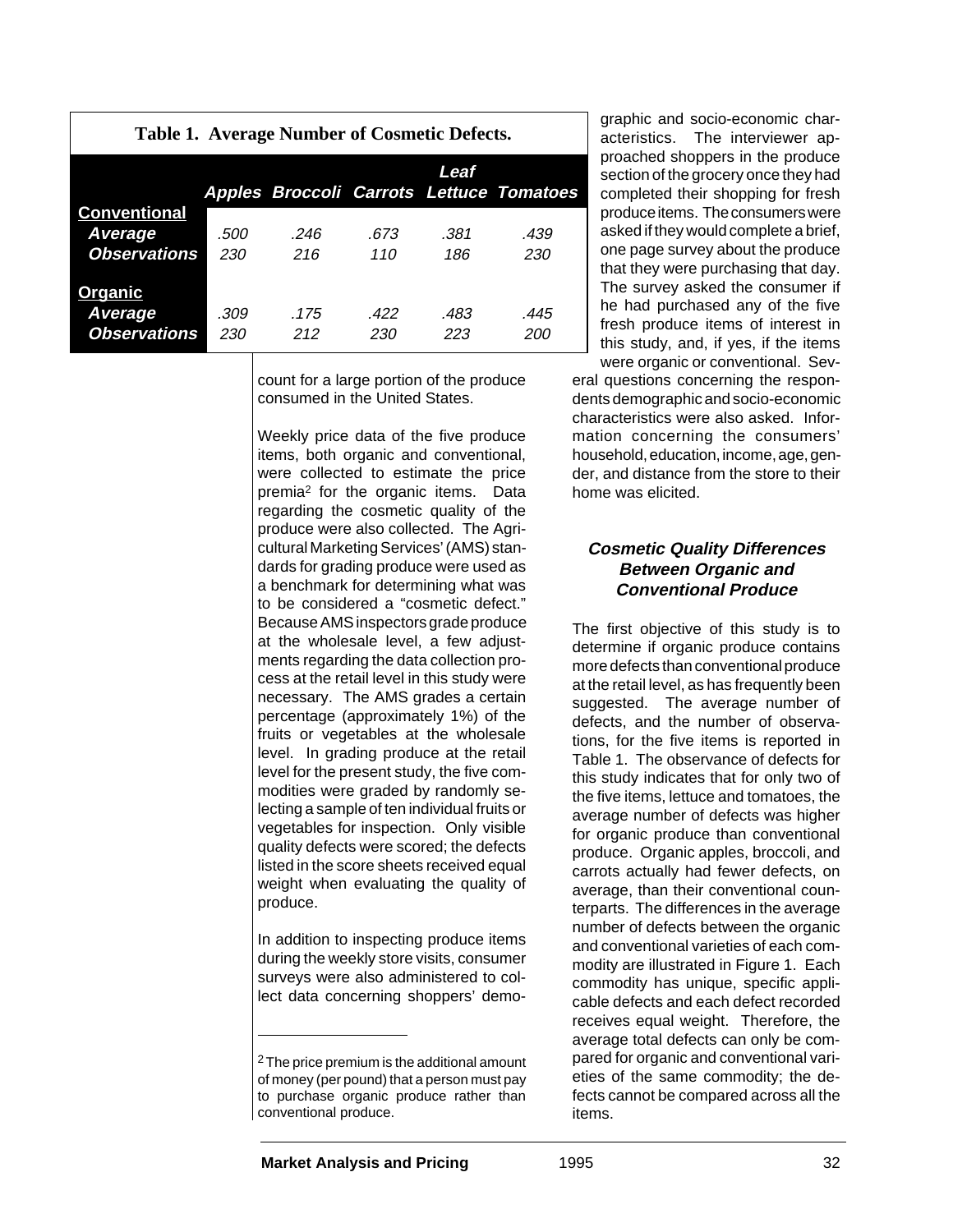| Table 1. Average Number of Cosmetic Defects.          |             |             |             |             |                                          |  |  |
|-------------------------------------------------------|-------------|-------------|-------------|-------------|------------------------------------------|--|--|
|                                                       |             |             |             | Leaf        | Apples Broccoli Carrots Lettuce Tomatoes |  |  |
| <b>Conventional</b><br>Average<br><b>Observations</b> | .500<br>230 | .246<br>216 | .673<br>110 | .381<br>186 | .439<br>230                              |  |  |
| <u>Organic</u><br>Average<br><b>Observations</b>      | .309<br>230 | .175<br>212 | .422<br>230 | .483<br>223 | .445<br>200                              |  |  |

count for a large portion of the produce consumed in the United States.

Weekly price data of the five produce items, both organic and conventional, were collected to estimate the price premia2 for the organic items. Data regarding the cosmetic quality of the produce were also collected. The Agricultural Marketing Services' (AMS) standards for grading produce were used as a benchmark for determining what was to be considered a "cosmetic defect." Because AMS inspectors grade produce at the wholesale level, a few adjustments regarding the data collection process at the retail level in this study were necessary. The AMS grades a certain percentage (approximately 1%) of the fruits or vegetables at the wholesale level. In grading produce at the retail level for the present study, the five commodities were graded by randomly selecting a sample of ten individual fruits or vegetables for inspection. Only visible quality defects were scored; the defects listed in the score sheets received equal weight when evaluating the quality of produce.

In addition to inspecting produce items during the weekly store visits, consumer surveys were also administered to collect data concerning shoppers' demographic and socio-economic characteristics. The interviewer approached shoppers in the produce section of the grocery once they had completed their shopping for fresh produce items. The consumers were asked if they would complete a brief, one page survey about the produce that they were purchasing that day. The survey asked the consumer if he had purchased any of the five fresh produce items of interest in this study, and, if yes, if the items were organic or conventional. Sev-

eral questions concerning the respondents demographic and socio-economic characteristics were also asked. Information concerning the consumers' household, education, income, age, gender, and distance from the store to their home was elicited.

### **Cosmetic Quality Differences Between Organic and Conventional Produce**

The first objective of this study is to determine if organic produce contains more defects than conventional produce at the retail level, as has frequently been suggested. The average number of defects, and the number of observations, for the five items is reported in Table 1. The observance of defects for this study indicates that for only two of the five items, lettuce and tomatoes, the average number of defects was higher for organic produce than conventional produce. Organic apples, broccoli, and carrots actually had fewer defects, on average, than their conventional counterparts. The differences in the average number of defects between the organic and conventional varieties of each commodity are illustrated in Figure 1. Each commodity has unique, specific applicable defects and each defect recorded receives equal weight. Therefore, the average total defects can only be compared for organic and conventional varieties of the same commodity; the defects cannot be compared across all the items.

<sup>&</sup>lt;sup>2</sup> The price premium is the additional amount of money (per pound) that a person must pay to purchase organic produce rather than conventional produce.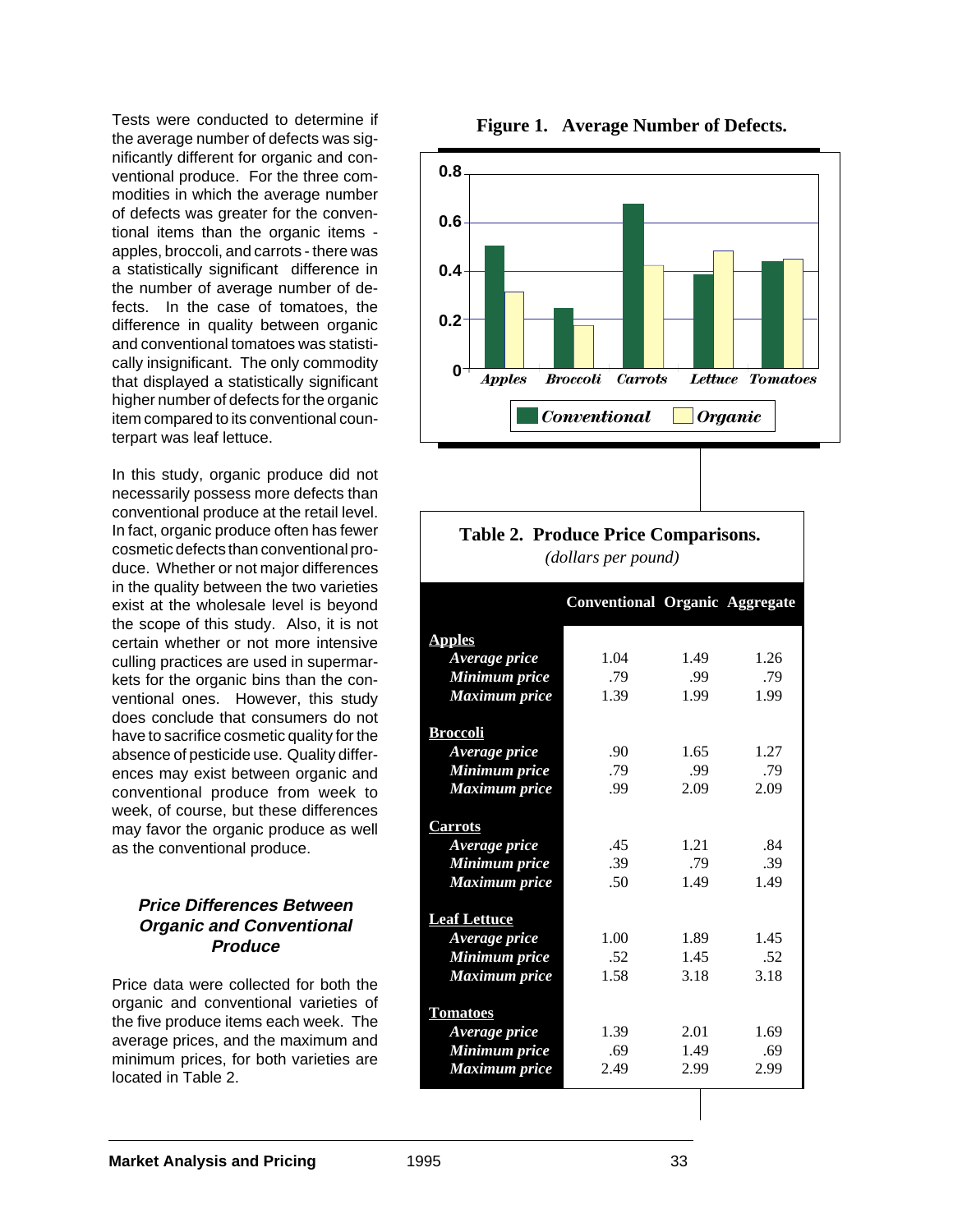Tests were conducted to determine if the average number of defects was significantly different for organic and conventional produce. For the three commodities in which the average number of defects was greater for the conventional items than the organic items apples, broccoli, and carrots - there was a statistically significant difference in the number of average number of defects. In the case of tomatoes, the difference in quality between organic and conventional tomatoes was statistically insignificant. The only commodity that displayed a statistically significant higher number of defects for the organic item compared to its conventional counterpart was leaf lettuce.

In this study, organic produce did not necessarily possess more defects than conventional produce at the retail level. In fact, organic produce often has fewer cosmetic defects than conventional produce. Whether or not major differences in the quality between the two varieties exist at the wholesale level is beyond the scope of this study. Also, it is not certain whether or not more intensive culling practices are used in supermarkets for the organic bins than the conventional ones. However, this study does conclude that consumers do not have to sacrifice cosmetic quality for the absence of pesticide use. Quality differences may exist between organic and conventional produce from week to week, of course, but these differences may favor the organic produce as well as the conventional produce.

#### **Price Differences Between Organic and Conventional Produce**

Price data were collected for both the organic and conventional varieties of the five produce items each week. The average prices, and the maximum and minimum prices, for both varieties are located in Table 2.





| Table 2. Produce Price Comparisons.<br>(dollars per pound) |                                       |      |      |  |  |  |
|------------------------------------------------------------|---------------------------------------|------|------|--|--|--|
|                                                            |                                       |      |      |  |  |  |
|                                                            | <b>Conventional Organic Aggregate</b> |      |      |  |  |  |
| <b>Apples</b>                                              |                                       |      |      |  |  |  |
| Average price                                              | 1.04                                  | 1.49 | 1.26 |  |  |  |
| Minimum price                                              | .79                                   | .99  | .79  |  |  |  |
| <b>Maximum</b> price                                       | 1.39                                  | 1.99 | 1.99 |  |  |  |
| <b>Broccoli</b>                                            |                                       |      |      |  |  |  |
| Average price                                              | .90                                   | 1.65 | 1.27 |  |  |  |
| Minimum price                                              | .79                                   | .99  | .79  |  |  |  |
| <b>Maximum</b> price                                       | .99                                   | 2.09 | 2.09 |  |  |  |
| <b>Carrots</b>                                             |                                       |      |      |  |  |  |
| Average price                                              | .45                                   | 1.21 | .84  |  |  |  |
| Minimum price                                              | .39                                   | .79  | .39  |  |  |  |
| <b>Maximum</b> price                                       | .50                                   | 1.49 | 1.49 |  |  |  |
|                                                            |                                       |      |      |  |  |  |
| <b>Leaf Lettuce</b>                                        |                                       |      |      |  |  |  |
| Average price                                              | 1.00                                  | 1.89 | 1.45 |  |  |  |
| Minimum price                                              | .52                                   | 1.45 | .52  |  |  |  |
| <b>Maximum</b> price                                       | 1.58                                  | 3.18 | 3.18 |  |  |  |
| <b>Tomatoes</b>                                            |                                       |      |      |  |  |  |
| Average price                                              | 1.39                                  | 2.01 | 1.69 |  |  |  |
| Minimum price                                              | .69                                   | 1.49 | .69  |  |  |  |
| <b>Maximum</b> price                                       | 2.49                                  | 2.99 | 2.99 |  |  |  |
|                                                            |                                       |      |      |  |  |  |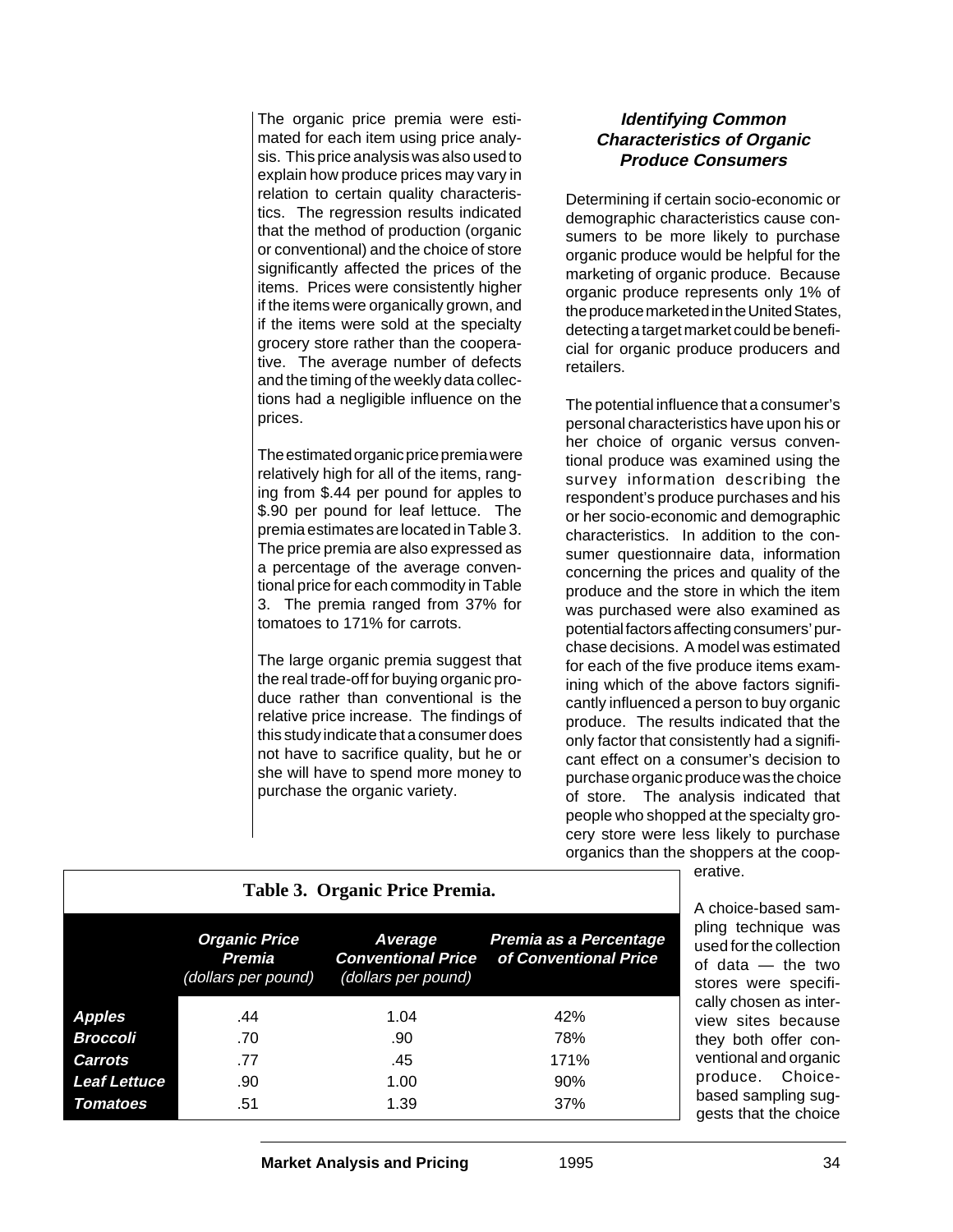The organic price premia were estimated for each item using price analysis. This price analysis was also used to explain how produce prices may vary in relation to certain quality characteristics. The regression results indicated that the method of production (organic or conventional) and the choice of store significantly affected the prices of the items. Prices were consistently higher if the items were organically grown, and if the items were sold at the specialty grocery store rather than the cooperative. The average number of defects and the timing of the weekly data collections had a negligible influence on the prices.

The estimated organic price premia were relatively high for all of the items, ranging from \$.44 per pound for apples to \$.90 per pound for leaf lettuce. The premia estimates are located in Table 3. The price premia are also expressed as a percentage of the average conventional price for each commodity in Table 3. The premia ranged from 37% for tomatoes to 171% for carrots.

The large organic premia suggest that the real trade-off for buying organic produce rather than conventional is the relative price increase. The findings of this study indicate that a consumer does not have to sacrifice quality, but he or she will have to spend more money to purchase the organic variety.

## **Identifying Common Characteristics of Organic Produce Consumers**

Determining if certain socio-economic or demographic characteristics cause consumers to be more likely to purchase organic produce would be helpful for the marketing of organic produce. Because organic produce represents only 1% of the produce marketed in the United States, detecting a target market could be beneficial for organic produce producers and retailers.

The potential influence that a consumer's personal characteristics have upon his or her choice of organic versus conventional produce was examined using the survey information describing the respondent's produce purchases and his or her socio-economic and demographic characteristics. In addition to the consumer questionnaire data, information concerning the prices and quality of the produce and the store in which the item was purchased were also examined as potential factors affecting consumers' purchase decisions. A model was estimated for each of the five produce items examining which of the above factors significantly influenced a person to buy organic produce. The results indicated that the only factor that consistently had a significant effect on a consumer's decision to purchase organic produce was the choice of store. The analysis indicated that people who shopped at the specialty grocery store were less likely to purchase organics than the shoppers at the coopn erative.

|                                                                    | A choice-based sam-                                   |                                                             |                                                 |                                                                                                                   |
|--------------------------------------------------------------------|-------------------------------------------------------|-------------------------------------------------------------|-------------------------------------------------|-------------------------------------------------------------------------------------------------------------------|
|                                                                    | <b>Organic Price</b><br>Premia<br>(dollars per pound) | Average<br><b>Conventional Price</b><br>(dollars per pound) | Premia as a Percentage<br>of Conventional Price | pling technique was<br>used for the collection<br>of data $-$ the two<br>stores were specifi-                     |
| <b>Apples</b><br>Broccoli<br><b>Carrots</b><br><b>Leaf Lettuce</b> | .44<br>.70<br>.77<br>.90                              | 1.04<br>.90<br>.45<br>1.00                                  | 42%<br>78%<br>171%<br>90%                       | cally chosen as inter-<br>view sites because<br>they both offer con-<br>ventional and organic<br>produce. Choice- |
| <b>Tomatoes</b>                                                    | .51                                                   | 1.39                                                        | 37%                                             | based sampling sug-<br>gests that the choice                                                                      |

**Market Analysis and Pricing** 1995 34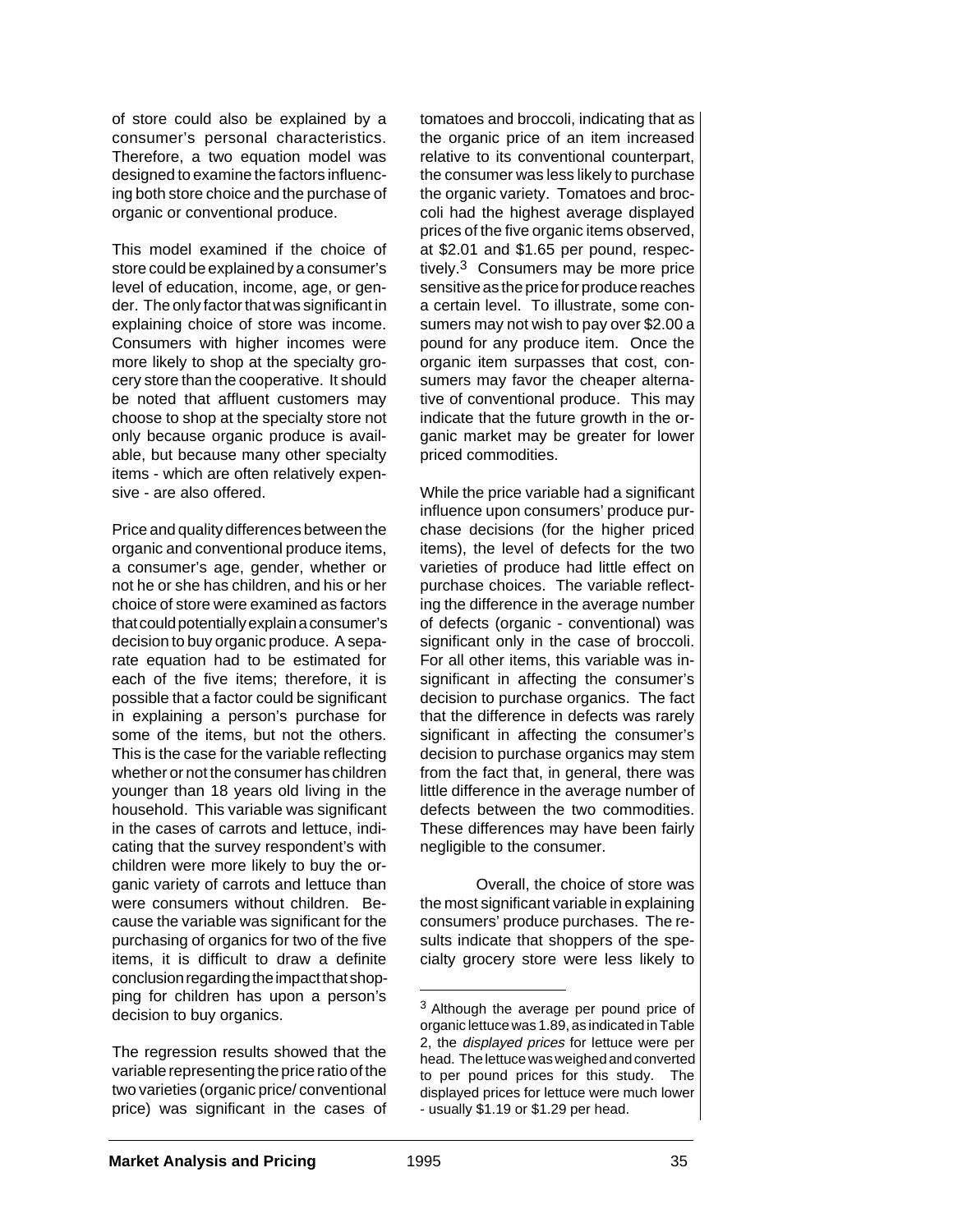of store could also be explained by a consumer's personal characteristics. Therefore, a two equation model was designed to examine the factors influencing both store choice and the purchase of organic or conventional produce.

This model examined if the choice of store could be explained by a consumer's level of education, income, age, or gender. The only factor that was significant in explaining choice of store was income. Consumers with higher incomes were more likely to shop at the specialty grocery store than the cooperative. It should be noted that affluent customers may choose to shop at the specialty store not only because organic produce is available, but because many other specialty items - which are often relatively expensive - are also offered.

Price and quality differences between the organic and conventional produce items, a consumer's age, gender, whether or not he or she has children, and his or her choice of store were examined as factors that could potentially explain a consumer's decision to buy organic produce. A separate equation had to be estimated for each of the five items; therefore, it is possible that a factor could be significant in explaining a person's purchase for some of the items, but not the others. This is the case for the variable reflecting whether or not the consumer has children younger than 18 years old living in the household. This variable was significant in the cases of carrots and lettuce, indicating that the survey respondent's with children were more likely to buy the organic variety of carrots and lettuce than were consumers without children. Because the variable was significant for the purchasing of organics for two of the five items, it is difficult to draw a definite conclusion regarding the impact that shopping for children has upon a person's decision to buy organics.

The regression results showed that the variable representing the price ratio of the two varieties (organic price/ conventional price) was significant in the cases of tomatoes and broccoli, indicating that as the organic price of an item increased relative to its conventional counterpart, the consumer was less likely to purchase the organic variety. Tomatoes and broccoli had the highest average displayed prices of the five organic items observed, at \$2.01 and \$1.65 per pound, respectively.3 Consumers may be more price sensitive as the price for produce reaches a certain level. To illustrate, some consumers may not wish to pay over \$2.00 a pound for any produce item. Once the organic item surpasses that cost, consumers may favor the cheaper alternative of conventional produce. This may indicate that the future growth in the organic market may be greater for lower priced commodities.

While the price variable had a significant influence upon consumers' produce purchase decisions (for the higher priced items), the level of defects for the two varieties of produce had little effect on purchase choices. The variable reflecting the difference in the average number of defects (organic - conventional) was significant only in the case of broccoli. For all other items, this variable was insignificant in affecting the consumer's decision to purchase organics. The fact that the difference in defects was rarely significant in affecting the consumer's decision to purchase organics may stem from the fact that, in general, there was little difference in the average number of defects between the two commodities. These differences may have been fairly negligible to the consumer.

Overall, the choice of store was the most significant variable in explaining consumers' produce purchases. The results indicate that shoppers of the specialty grocery store were less likely to

<sup>3</sup> Although the average per pound price of organic lettuce was 1.89, as indicated in Table 2, the displayed prices for lettuce were per head. The lettuce was weighed and converted to per pound prices for this study. The displayed prices for lettuce were much lower - usually \$1.19 or \$1.29 per head.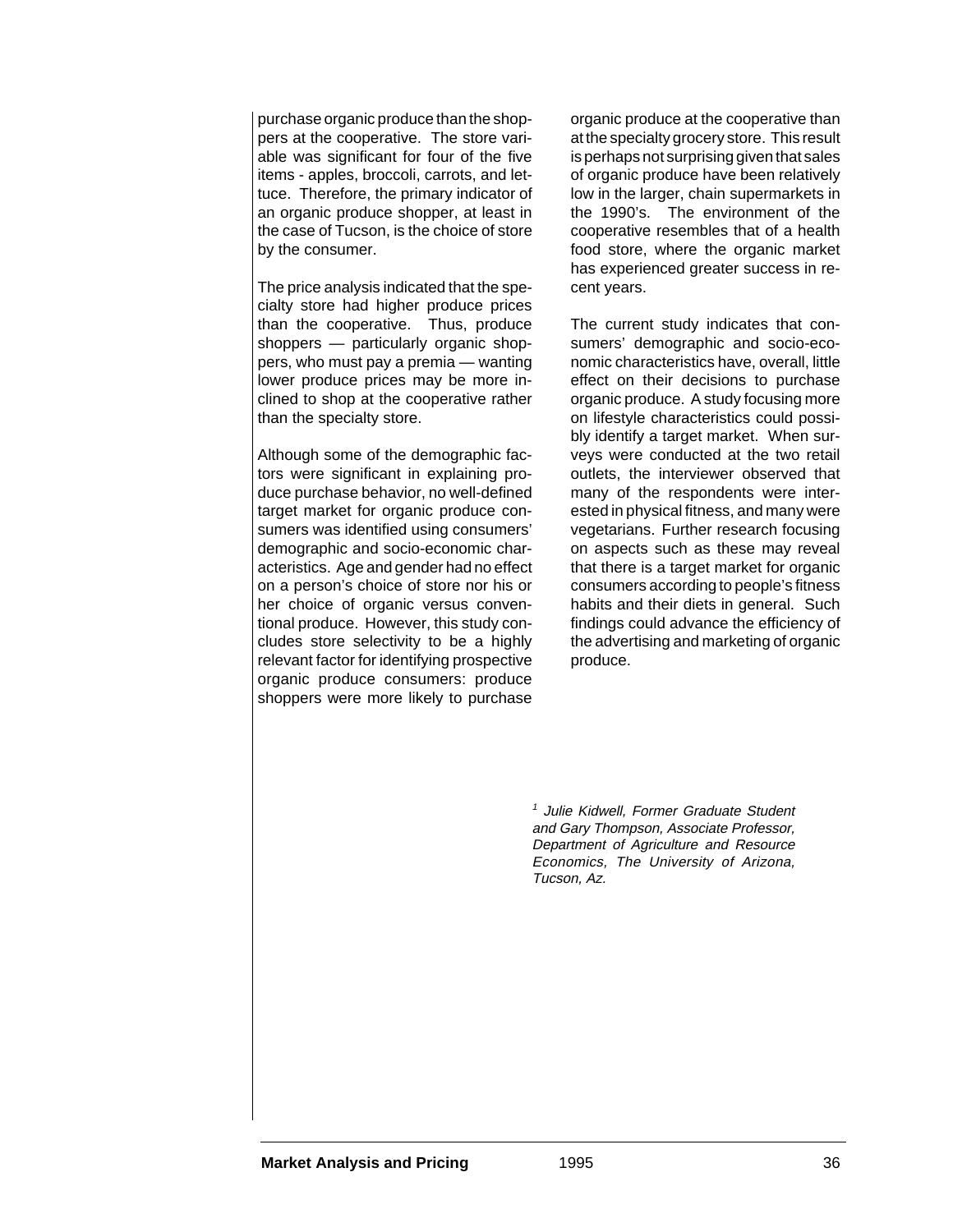purchase organic produce than the shoppers at the cooperative. The store variable was significant for four of the five items - apples, broccoli, carrots, and lettuce. Therefore, the primary indicator of an organic produce shopper, at least in the case of Tucson, is the choice of store by the consumer.

The price analysis indicated that the specialty store had higher produce prices than the cooperative. Thus, produce shoppers — particularly organic shoppers, who must pay a premia — wanting lower produce prices may be more inclined to shop at the cooperative rather than the specialty store.

Although some of the demographic factors were significant in explaining produce purchase behavior, no well-defined target market for organic produce consumers was identified using consumers' demographic and socio-economic characteristics. Age and gender had no effect on a person's choice of store nor his or her choice of organic versus conventional produce. However, this study concludes store selectivity to be a highly relevant factor for identifying prospective organic produce consumers: produce shoppers were more likely to purchase

organic produce at the cooperative than at the specialty grocery store. This result is perhaps not surprising given that sales of organic produce have been relatively low in the larger, chain supermarkets in the 1990's. The environment of the cooperative resembles that of a health food store, where the organic market has experienced greater success in recent years.

The current study indicates that consumers' demographic and socio-economic characteristics have, overall, little effect on their decisions to purchase organic produce. A study focusing more on lifestyle characteristics could possibly identify a target market. When surveys were conducted at the two retail outlets, the interviewer observed that many of the respondents were interested in physical fitness, and many were vegetarians. Further research focusing on aspects such as these may reveal that there is a target market for organic consumers according to people's fitness habits and their diets in general. Such findings could advance the efficiency of the advertising and marketing of organic produce.

<sup>1</sup> Julie Kidwell, Former Graduate Student and Gary Thompson, Associate Professor, Department of Agriculture and Resource Economics, The University of Arizona, Tucson, Az.